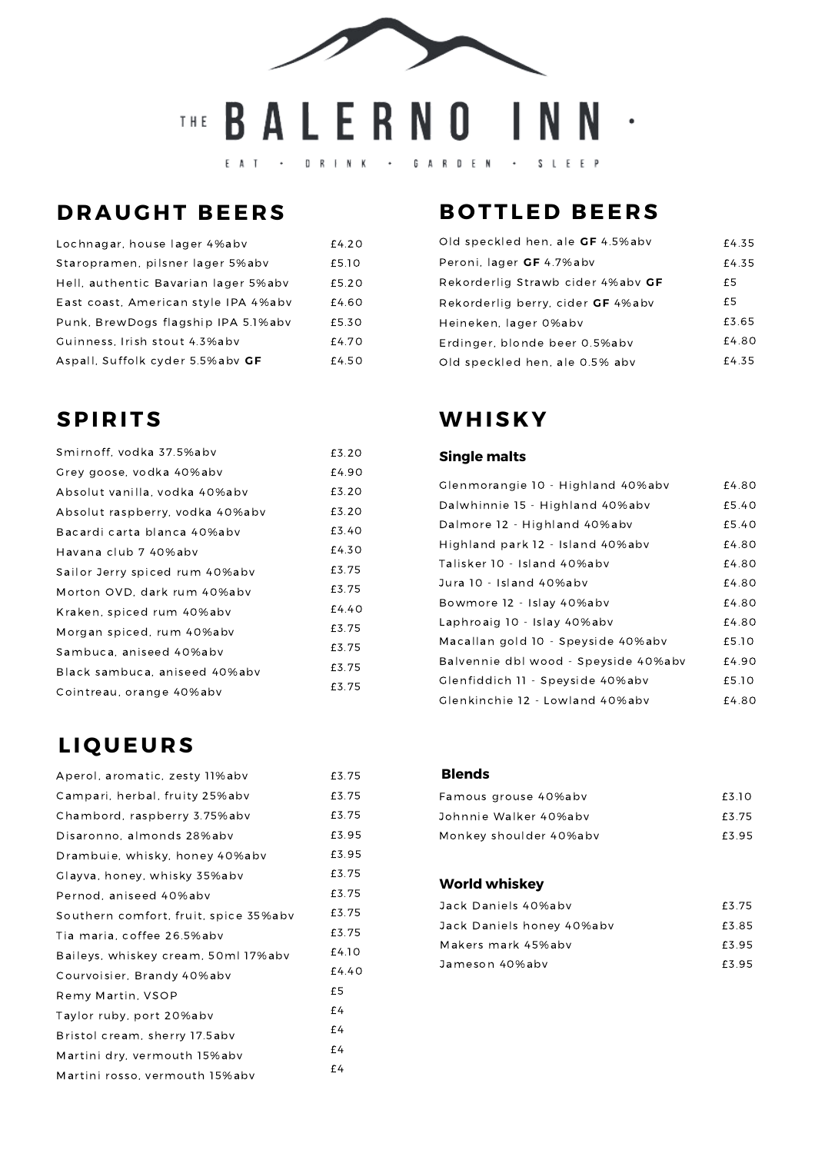# THE BALERNO INN .

 $E A T \cdot B R I N K \cdot$ GARDEN · SLEEP

### **DRAUGHT BEERS**

| Lochnagar, house lager 4%abv         | £4.20 |
|--------------------------------------|-------|
| Staropramen, pilsner lager 5%abv     | £5.10 |
| Hell, authentic Bavarian lager 5%abv | £5.20 |
| East coast, American style IPA 4%abv | £4.60 |
| Punk, BrewDogs flagship IPA 5.1%abv  | £5.30 |
| Guinness, Irish stout 4.3%abv        | £4.70 |
| Aspall, Suffolk cyder 5.5%abv GF     | £4.50 |

### **SPI R I TS**

| Smirnoff, vodka 37.5%abv        | £3.20 |
|---------------------------------|-------|
| Grey goose, vodka 40%abv        | £4.90 |
| Absolut vanilla, vodka 40%abv   | £3.20 |
| Absolut raspberry, vodka 40%abv | £3.20 |
| Bacardi carta blanca 40%abv     | £3.40 |
| Havana club 7 40%abv            | £4.30 |
| Sailor Jerry spiced rum 40%abv  | £3.75 |
| Morton OVD, dark rum 40%abv     | £3.75 |
| Kraken, spiced rum 40%abv       | £4.40 |
| Morgan spiced, rum 40%abv       | £3.75 |
| Sambuca, aniseed 40%abv         | £3.75 |
| Black sambuca, aniseed 40%abv   | £3.75 |
| Cointreau, orange 40%abv        | £3.75 |

#### **L I Q U E U R S**

| Aperol, aromatic, zesty 11%abv        | £3.75 |
|---------------------------------------|-------|
| Campari, herbal, fruity 25%abv        | £3.75 |
| Chambord, raspberry 3.75%abv          | £3.75 |
| Disaronno, almonds 28%abv             | £3.95 |
| Drambuie, whisky, honey 40%abv        | £3.95 |
| Glayva, honey, whisky 35%abv          | £3.75 |
| Pernod, aniseed 40%abv                | £3.75 |
| Southern comfort, fruit, spice 35%abv | £3.75 |
| Tia maria, coffee 26.5%abv            | £3.75 |
| Baileys, whiskey cream, 50ml 17%abv   | £4.10 |
| Courvoisier, Brandy 40%abv            | £4.40 |
| Remy Martin, VSOP                     | £5    |
| Taylor ruby, port 20%abv              | £4    |
| Bristol cream, sherry 17.5abv         | £4    |
| Martini dry, vermouth 15%abv          | £4    |
| Martini rosso, vermouth 15%abv        | £4    |

## **B O T T LED B EE R S**

| Old speckled hen, ale GF 4.5%abv  | £4.35 |
|-----------------------------------|-------|
| Peroni, lager GF 4.7%abv          | £4.35 |
| Rekorderlig Strawb cider 4%aby GF | £5    |
| Rekorderlig berry, cider GF 4%abv | £5    |
| Heineken, lager 0%abv             | £3.65 |
| Erdinger, blonde beer 0.5%abv     | £4.80 |
| Old speckled hen, ale 0.5% abv    | £4.35 |

## **WHIS K Y**

#### **Single malts**

| Glenmorangie 10 - Highland 40%abv    | £4.80 |
|--------------------------------------|-------|
| Dalwhinnie 15 - Highland 40%abv      | £5.40 |
| Dalmore 12 - Highland 40%abv         | £5.40 |
| Highland park 12 - Island 40%abv     | £4.80 |
| Talisker 10 - Island 40%abv          | £4.80 |
| Jura 10 - Island 40%abv              | £4.80 |
| Bowmore 12 - Islay 40%abv            | £4.80 |
| Laphroaig 10 - Islay 40%abv          | £4.80 |
| Macallan gold 10 - Speyside 40%abv   | £5.10 |
| Balvennie dbl wood - Speyside 40%abv | £4.90 |
| Glenfiddich 11 - Speyside 40%abv     | £5.10 |
| Glenkinchie 12 - Lowland 40%abv      | £4.80 |

#### **Blends**

| Famous grouse 40%aby   | F3 10 |
|------------------------|-------|
| Johnnie Walker 40%aby  | £3.75 |
| Monkey shoulder 40%abv | £3.95 |

#### **World whiskey**

| Jack Daniels 40%aby       | £3.75 |
|---------------------------|-------|
| Jack Daniels honey 40%abv | £3.85 |
| Makers mark 45%aby        | £3.95 |
| Jameson 40%aby            | £3.95 |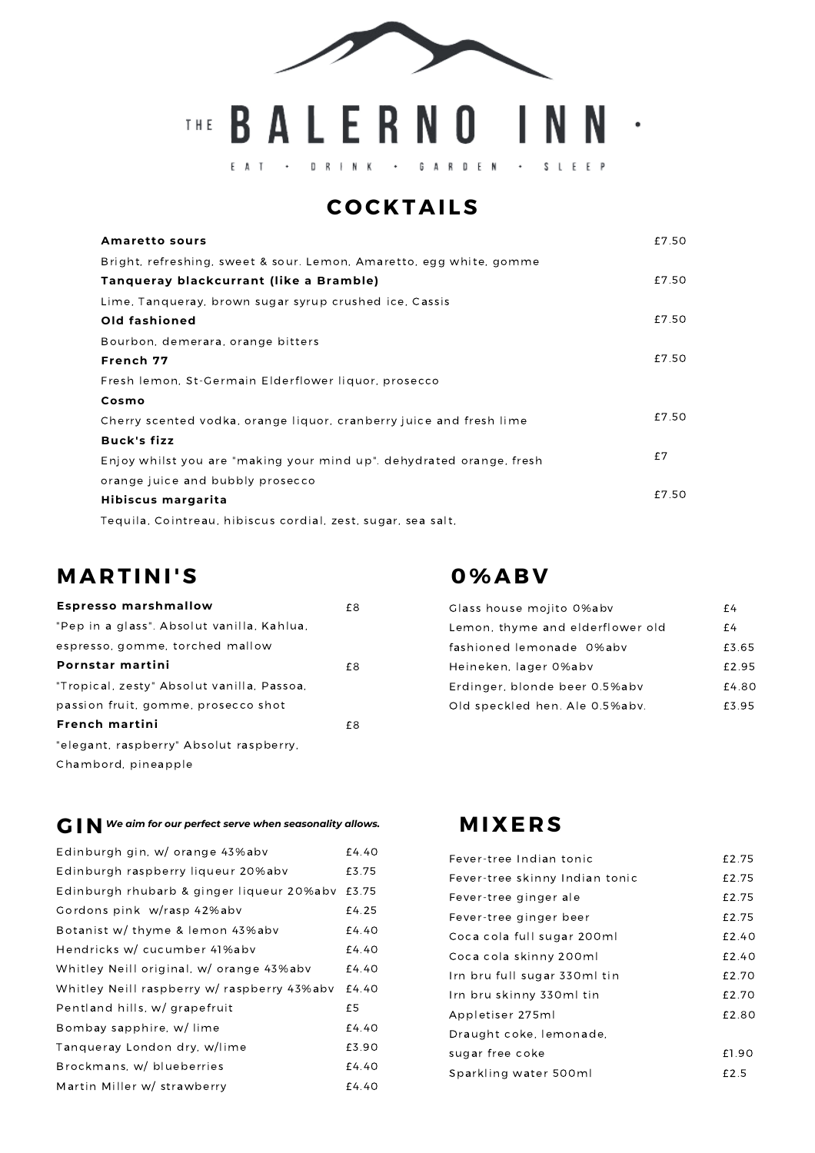

## THE BALERNO INN .

GARDEN - SLEEP  $E A T \cdot B R + N K \cdot$ 

#### **C O C K TAI LS**

| <b>Amaretto sours</b>                                                | £7.50 |
|----------------------------------------------------------------------|-------|
| Bright, refreshing, sweet & sour. Lemon, Amaretto, egg white, gomme  |       |
| Tangueray blackcurrant (like a Bramble)                              | £7.50 |
| Lime, Tanqueray, brown sugar syrup crushed ice, Cassis               |       |
| Old fashioned                                                        | £7.50 |
| Bourbon, demerara, orange bitters                                    |       |
| French 77                                                            | £7.50 |
| Fresh lemon, St-Germain Elderflower liquor, prosecco                 |       |
| Cosmo                                                                |       |
| Cherry scented vodka, orange liquor, cranberry juice and fresh lime  | £7.50 |
| <b>Buck's fizz</b>                                                   |       |
| Enjoy whilst you are "making your mind up", dehydrated orange, fresh | f7    |
| orange juice and bubbly prosecco                                     |       |
| Hibiscus margarita                                                   | £7.50 |
| Tequila, Cointreau, hibiscus cordial, zest, sugar, sea salt,         |       |

#### **M AR T INI'S**

| <b>Espresso marshmallow</b>                | £8 |
|--------------------------------------------|----|
| "Pep in a glass". Absolut vanilla, Kahlua, |    |
| espresso, gomme, torched mallow            |    |
| Pornstar martini                           | £8 |
| "Tropical, zesty" Absolut vanilla, Passoa, |    |
| passion fruit, gomme, prosecco shot        |    |
| French martini                             | £8 |
| "elegant, raspberry" Absolut raspberry,    |    |
| Chambord, pineapple                        |    |

#### **G IN** *We aim for our perfect serve when seasonality allows.*

| Edinburgh gin, w/ orange 43%abv             | £4.40 |
|---------------------------------------------|-------|
| Edinburgh raspberry liqueur 20%abv          | £3.75 |
| Edinburgh rhubarb & ginger liqueur 20%abv   | £3.75 |
| Gordons pink w/rasp 42%abv                  | £4.25 |
| Botanist w/ thyme & lemon 43%abv            | £4.40 |
| Hendricks w/ cucumber 41%abv                | £4.40 |
| Whitley Neill original, w/ orange 43%abv    | £4.40 |
| Whitley Neill raspberry w/ raspberry 43%abv | £4.40 |
| Pentland hills, w/ grapefruit               | £5    |
| Bombay sapphire, w/lime                     | £4.40 |
| Tanqueray London dry, w/lime                | £3.90 |
| Brockmans, w/ blueberries                   | £4.40 |
| Martin Miller w/ strawberry                 | £4.40 |

#### **0%AB V**

| Glass house mojito 0%abv         | f4    |
|----------------------------------|-------|
| Lemon, thyme and elderflower old | f4    |
| fashioned lemonade 0%aby         | £3.65 |
| Heineken, lager 0%abv            | £2.95 |
| Erdinger, blonde beer 0.5%abv    | £4.80 |
| Old speckled hen. Ale 0.5%abv.   | £3.95 |

#### **M I X E R S**

| Fever-tree Indian tonic        | £2.75 |
|--------------------------------|-------|
| Fever-tree skinny Indian tonic | £2.75 |
| Fever-tree ginger ale          | £2.75 |
| Fever-tree ginger beer         | £2.75 |
| Coca cola full sugar 200ml     | £2.40 |
| Coca cola skinny 200ml         | £2.40 |
| Irn bru full sugar 330ml tin   | £2.70 |
| Irn bru skinny 330ml tin       | £2.70 |
| Appletiser 275ml               | £2.80 |
| Draught coke, lemonade,        |       |
| sugar free coke                | £1.90 |
| Sparkling water 500ml          | f2.5  |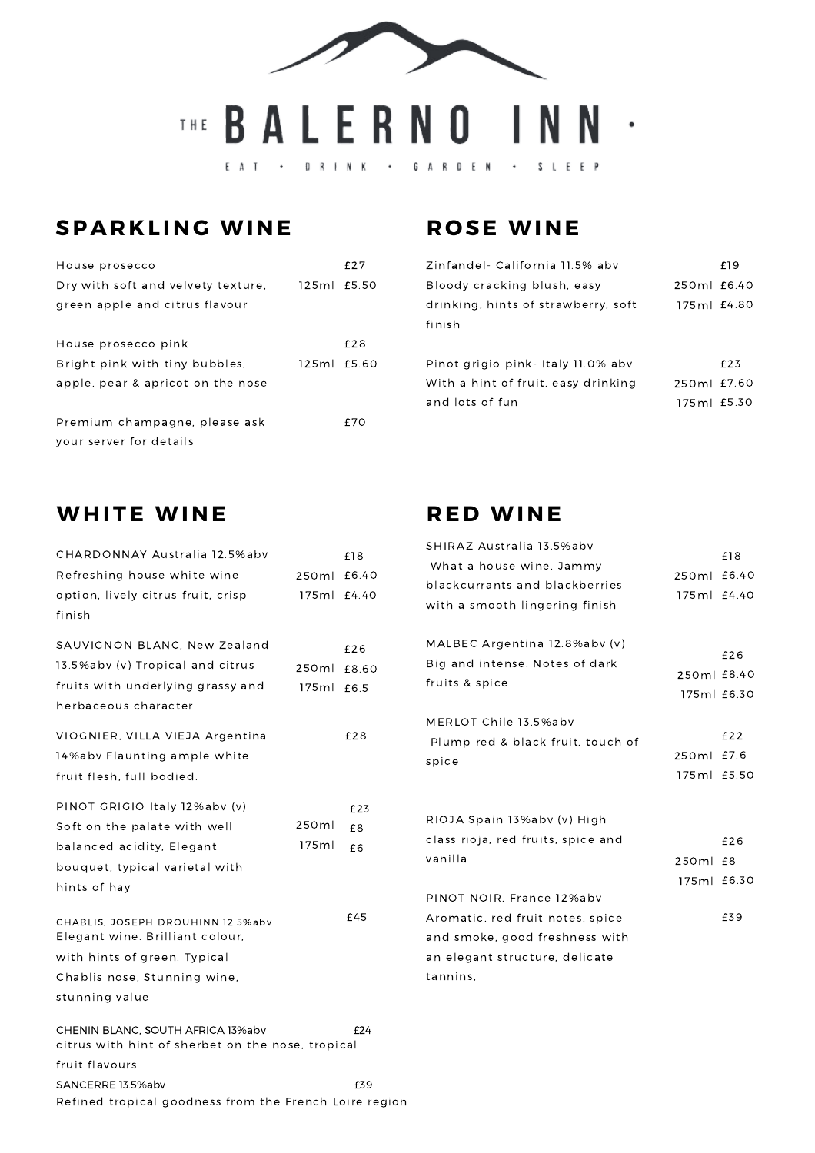

#### **SPAR K L ING WINE**

| House prosecco                     |             | £27 |
|------------------------------------|-------------|-----|
| Dry with soft and velvety texture, | 125ml £5.50 |     |
| green apple and citrus flavour     |             |     |
|                                    |             |     |
| House prosecco pink                |             | f28 |
| Bright pink with tiny bubbles.     | 125ml £5.60 |     |
| apple, pear & apricot on the nose  |             |     |
|                                    |             |     |
| Premium champagne, please ask      |             | f70 |
| your server for details            |             |     |
|                                    |             |     |

#### **ROSE WINE**

| Zinfandel- California 11.5% abv     |             | £19 |
|-------------------------------------|-------------|-----|
| Bloody cracking blush, easy         | 250ml £6.40 |     |
| drinking, hints of strawberry, soft | 175ml £4.80 |     |
| finish                              |             |     |
|                                     |             |     |
| Pinot grigio pink - Italy 11.0% abv |             | f23 |
| With a hint of fruit, easy drinking | 250ml £7.60 |     |
| and lots of fun                     | 175ml £5.30 |     |
|                                     |             |     |

#### **WHITE WINE**

| CHARDONNAY Australia 12.5%abv                                        |         | £18   |
|----------------------------------------------------------------------|---------|-------|
| Refreshing house white wine                                          | 250ml   | £6.40 |
| option, lively citrus fruit, crisp                                   | 175 m l | £4.40 |
| finish                                                               |         |       |
| SAUVIGNON BLANC, New Zealand                                         |         |       |
| 13.5%abv (v) Tropical and citrus                                     |         | £26   |
|                                                                      | 250ml   | £8.60 |
| fruits with underlying grassy and                                    | 175ml   | £6.5  |
| herbaceous character                                                 |         |       |
| VIOGNIER, VILLA VIEJA Argentina                                      |         | £28   |
| 14%abv Flaunting ample white                                         |         |       |
| fruit flesh, full bodied.                                            |         |       |
|                                                                      |         |       |
| PINOT GRIGIO Italy 12%abv (v)                                        |         | £23   |
| Soft on the palate with well                                         | 250ml   | £8    |
| balanced acidity, Elegant                                            | 175ml   | £6    |
| bouquet, typical varietal with                                       |         |       |
| hints of hay                                                         |         |       |
|                                                                      |         | £45   |
| CHABLIS, JOSEPH DROUHINN 12.5%abv<br>Elegant wine. Brilliant colour, |         |       |
| with hints of green. Typical                                         |         |       |
| Chablis nose, Stunning wine,                                         |         |       |
| stunning value                                                       |         |       |
|                                                                      |         |       |
| CHENIN BLANC, SOUTH AFRICA 13%abv                                    |         | £24   |
| citrus with hint of sherbet on the nose, tropical                    |         |       |
| fruit flavours                                                       |         |       |
| SANCERRE 13.5%abv                                                    |         | £39   |

Refined tropical goodness from the French Loire region

#### **R ED WINE**

| SHIRAZ Australia 13.5%abv<br>What a house wine, Jammy<br>blackcurrants and blackberries<br>with a smooth lingering finish                     | 250ml<br>175ml £4.40    | £18<br>£6.40       |
|-----------------------------------------------------------------------------------------------------------------------------------------------|-------------------------|--------------------|
| MALBEC Argentina 12.8%abv (v)<br>Big and intense. Notes of dark<br>fruits & spice                                                             | 250ml £8.40             | £26<br>175ml £6.30 |
| MERLOT Chile 13.5%abv<br>Plump red & black fruit, touch of<br>spice                                                                           | 250ml<br>175ml £5.50    | £22<br>£7.6        |
| RIOJA Spain 13%abv (v) High<br>class rioja, red fruits, spice and<br>vanilla                                                                  | 250ml £8<br>175ml £6.30 | £26                |
| PINOT NOIR. France 12%abv<br>Aromatic, red fruit notes, spice<br>and smoke, good freshness with<br>an elegant structure, delicate<br>tannins. |                         | £39                |